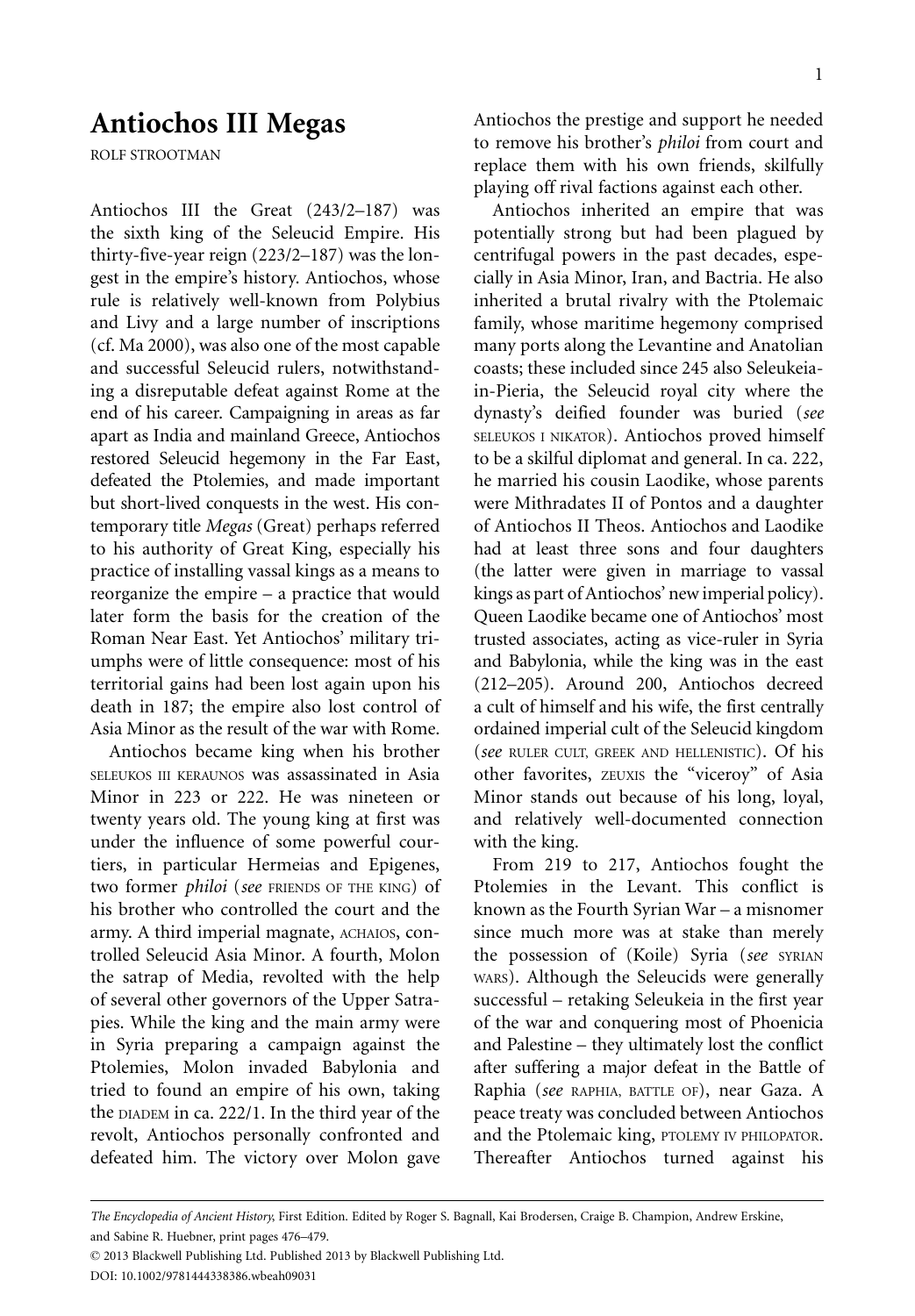ROLF STROOTMAN

Antiochos III the Great (243/2–187) was the sixth king of the Seleucid Empire. His thirty-five-year reign (223/2–187) was the longest in the empire's history. Antiochos, whose rule is relatively well-known from Polybius and Livy and a large number of inscriptions (cf. Ma 2000), was also one of the most capable and successful Seleucid rulers, notwithstanding a disreputable defeat against Rome at the end of his career. Campaigning in areas as far apart as India and mainland Greece, Antiochos restored Seleucid hegemony in the Far East, defeated the Ptolemies, and made important but short-lived conquests in the west. His contemporary title Megas (Great) perhaps referred to his authority of Great King, especially his practice of installing vassal kings as a means to reorganize the empire – a practice that would later form the basis for the creation of the Roman Near East. Yet Antiochos' military triumphs were of little consequence: most of his territorial gains had been lost again upon his death in 187; the empire also lost control of Asia Minor as the result of the war with Rome.

Antiochos became king when his brother SELEUKOS III KERAUNOS was assassinated in Asia Minor in 223 or 222. He was nineteen or twenty years old. The young king at first was under the influence of some powerful courtiers, in particular Hermeias and Epigenes, two former philoi (see FRIENDS OF THE KING) of his brother who controlled the court and the army. A third imperial magnate, ACHAIOS, controlled Seleucid Asia Minor. A fourth, Molon the satrap of Media, revolted with the help of several other governors of the Upper Satrapies. While the king and the main army were in Syria preparing a campaign against the Ptolemies, Molon invaded Babylonia and tried to found an empire of his own, taking the DIADEM in ca. 222/1. In the third year of the revolt, Antiochos personally confronted and defeated him. The victory over Molon gave

Antiochos the prestige and support he needed to remove his brother's philoi from court and replace them with his own friends, skilfully playing off rival factions against each other.

Antiochos inherited an empire that was potentially strong but had been plagued by centrifugal powers in the past decades, especially in Asia Minor, Iran, and Bactria. He also inherited a brutal rivalry with the Ptolemaic family, whose maritime hegemony comprised many ports along the Levantine and Anatolian coasts; these included since 245 also Seleukeiain-Pieria, the Seleucid royal city where the dynasty's deified founder was buried (see SELEUKOS I NIKATOR). Antiochos proved himself to be a skilful diplomat and general. In ca. 222, he married his cousin Laodike, whose parents were Mithradates II of Pontos and a daughter of Antiochos II Theos. Antiochos and Laodike had at least three sons and four daughters (the latter were given in marriage to vassal kings as part of Antiochos' new imperial policy). Queen Laodike became one of Antiochos' most trusted associates, acting as vice-ruler in Syria and Babylonia, while the king was in the east (212–205). Around 200, Antiochos decreed a cult of himself and his wife, the first centrally ordained imperial cult of the Seleucid kingdom (see RULER CULT, GREEK AND HELLENISTIC). Of his other favorites, ZEUXIS the "viceroy" of Asia Minor stands out because of his long, loyal, and relatively well-documented connection with the king.

From 219 to 217, Antiochos fought the Ptolemies in the Levant. This conflict is known as the Fourth Syrian War – a misnomer since much more was at stake than merely the possession of (Koile) Syria (see SYRIAN WARS). Although the Seleucids were generally successful – retaking Seleukeia in the first year of the war and conquering most of Phoenicia and Palestine – they ultimately lost the conflict after suffering a major defeat in the Battle of Raphia (see RAPHIA, BATTLE OF), near Gaza. A peace treaty was concluded between Antiochos and the Ptolemaic king, PTOLEMY IV PHILOPATOR. Thereafter Antiochos turned against his

The Encyclopedia of Ancient History, First Edition. Edited by Roger S. Bagnall, Kai Brodersen, Craige B. Champion, Andrew Erskine, and Sabine R. Huebner, print pages 476–479.

<sup>©</sup> 2013 Blackwell Publishing Ltd. Published 2013 by Blackwell Publishing Ltd.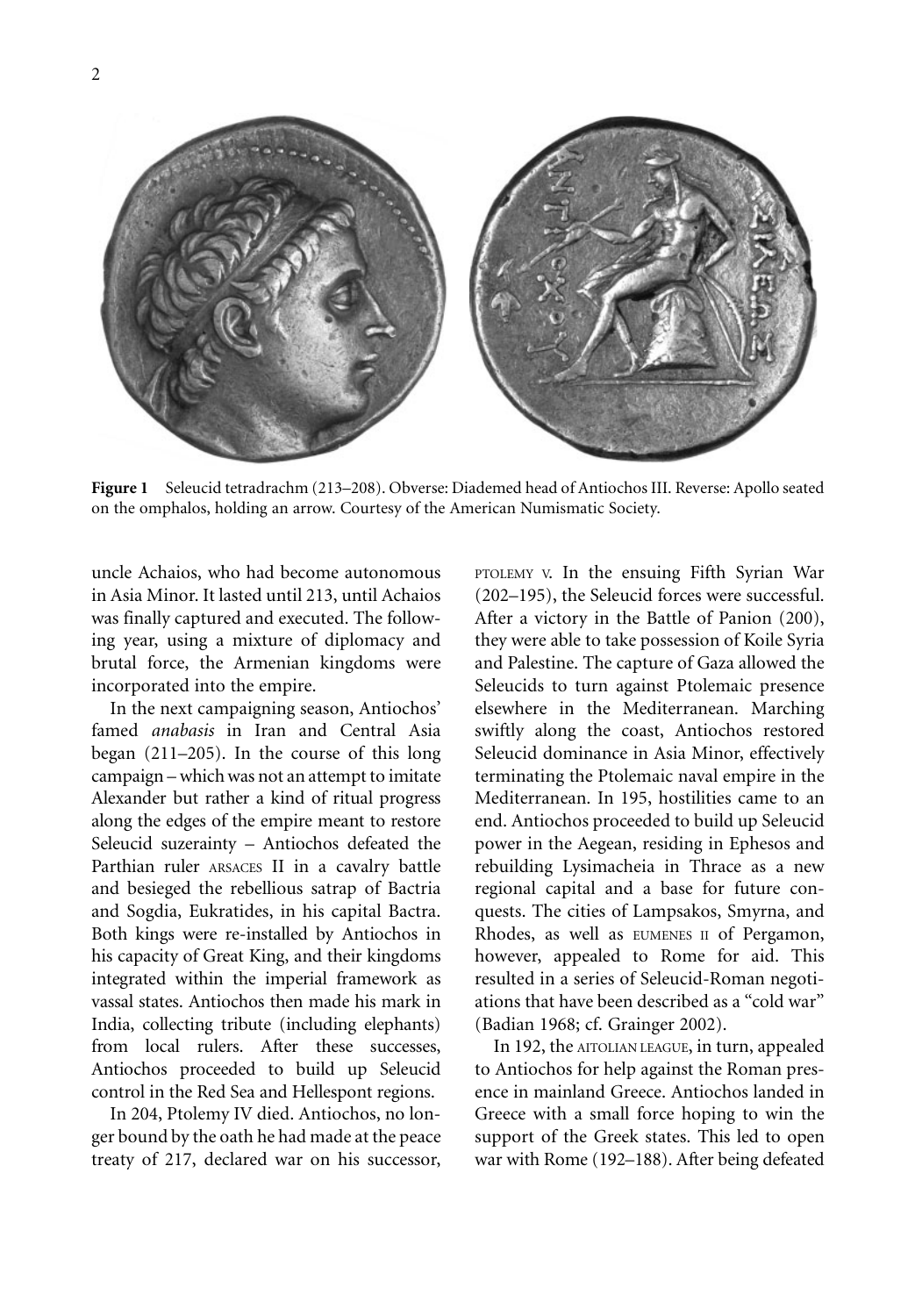

Figure 1 Seleucid tetradrachm (213–208). Obverse: Diademed head of Antiochos III. Reverse: Apollo seated on the omphalos, holding an arrow. Courtesy of the American Numismatic Society.

uncle Achaios, who had become autonomous in Asia Minor. It lasted until 213, until Achaios was finally captured and executed. The following year, using a mixture of diplomacy and brutal force, the Armenian kingdoms were incorporated into the empire.

In the next campaigning season, Antiochos' famed anabasis in Iran and Central Asia began (211–205). In the course of this long campaign – which was not an attempt to imitate Alexander but rather a kind of ritual progress along the edges of the empire meant to restore Seleucid suzerainty – Antiochos defeated the Parthian ruler ARSACES II in a cavalry battle and besieged the rebellious satrap of Bactria and Sogdia, Eukratides, in his capital Bactra. Both kings were re-installed by Antiochos in his capacity of Great King, and their kingdoms integrated within the imperial framework as vassal states. Antiochos then made his mark in India, collecting tribute (including elephants) from local rulers. After these successes, Antiochos proceeded to build up Seleucid control in the Red Sea and Hellespont regions.

In 204, Ptolemy IV died. Antiochos, no longer bound by the oath he had made at the peace treaty of 217, declared war on his successor, PTOLEMY V. In the ensuing Fifth Syrian War (202–195), the Seleucid forces were successful. After a victory in the Battle of Panion (200), they were able to take possession of Koile Syria and Palestine. The capture of Gaza allowed the Seleucids to turn against Ptolemaic presence elsewhere in the Mediterranean. Marching swiftly along the coast, Antiochos restored Seleucid dominance in Asia Minor, effectively terminating the Ptolemaic naval empire in the Mediterranean. In 195, hostilities came to an end. Antiochos proceeded to build up Seleucid power in the Aegean, residing in Ephesos and rebuilding Lysimacheia in Thrace as a new regional capital and a base for future conquests. The cities of Lampsakos, Smyrna, and Rhodes, as well as EUMENES II of Pergamon, however, appealed to Rome for aid. This resulted in a series of Seleucid-Roman negotiations that have been described as a "cold war" (Badian 1968; cf. Grainger 2002).

In 192, the AITOLIAN LEAGUE, in turn, appealed to Antiochos for help against the Roman presence in mainland Greece. Antiochos landed in Greece with a small force hoping to win the support of the Greek states. This led to open war with Rome (192–188). After being defeated